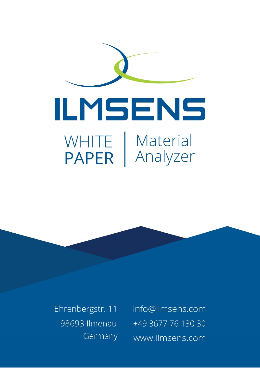

Ehrenbergstr. 11 98693 Ilmenau Germany info@ilmsens.com +49 3677 76 130 30 www.ilmsens.com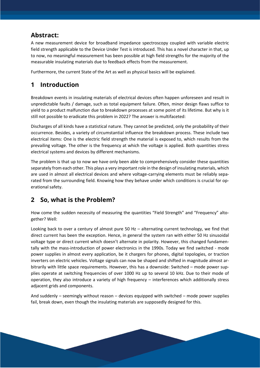# **Abstract:**

A new measurement device for broadband impedance spectroscopy coupled with variable electric field strength applicable to the Device Under Test is introduced. This has a novel character in that, up to now, no meaningful measurement has been possible at high field strengths for the majority of the measurable insulating materials due to feedback effects from the measurement.

Furthermore, the current State of the Art as well as physical basics will be explained.

# **1 Introduction**

Breakdown events in insulating materials of electrical devices often happen unforeseen and result in unpredictable faults / damage, such as total equipment failure. Often, minor design flaws suffice to yield to a product malfunction due to breakdown processes at some point of its lifetime. But why is it still not possible to eradicate this problem in 2022? The answer is multifaceted:

Discharges of all kinds have a statistical nature. They cannot be predicted, only the probability of their occurrence. Besides, a variety of circumstantial influence the breakdown process. These include two electrical items: One is the electric field strength the material is exposed to, which results from the prevailing voltage. The other is the frequency at which the voltage is applied. Both quantities stress electrical systems and devices by different mechanisms.

The problem is that up to now we have only been able to comprehensively consider these quantities separately from each other. This plays a very important role in the design of insulating materials, which are used in almost all electrical devices and where voltage-carrying elements must be reliably separated from the surrounding field. Knowing how they behave under which conditions is crucial for operational safety.

# **2 So, what is the Problem?**

How come the sudden necessity of measuring the quantities "Field Strength" and "Frequency" altogether? Well:

Looking back to over a century of almost pure 50 Hz – alternating current technology, we find that direct current has been the exception. Hence, in general the system ran with either 50 Hz sinusoidal voltage type or direct current which doesn't alternate in polarity. However, this changed fundamentally with the mass-introduction of power electronics in the 1990s. Today we find switched - mode power supplies in almost every application, be it chargers for phones, digital topologies, or traction inverters on electric vehicles. Voltage signals can now be shaped and shifted in magnitude almost arbitrarily with little space requirements. However, this has a downside: Switched – mode power supplies operate at switching frequencies of over 1000 Hz up to several 10 kHz. Due to their mode of operation, they also introduce a variety of high frequency – interferences which additionally stress adjacent grids and components.

And suddenly – seemingly without reason – devices equipped with switched – mode power supplies fail, break down, even though the insulating materials are supposedly designed for this.

**Contract Contract Contract**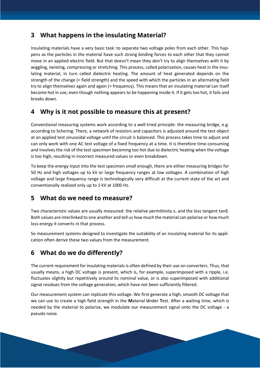### **3 What happens in the insulating Material?**

Insulating materials have a very basic task: to separate two voltage poles from each other. This happens as the particles in the material have such strong binding forces to each other that they cannot move in an applied electric field. But that doesn't mean they don't try to align themselves with it by wiggling, twisting, compressing or stretching. This process, called polarization, causes heat in the insulating material, in turn called dielectric heating. The amount of heat generated depends on the strength of the change (= field strength) and the speed with which the particles in an alternating field try to align themselves again and again (= frequency). This means that an insulating material can itself become hot in use, even though nothing appears to be happening inside it. If it gets too hot, it fails and breaks down.

#### **4 Why is it not possible to measure this at present?**

Conventional measuring systems work according to a well-tried principle: the measuring bridge, e.g. according to Schering. There, a network of resistors and capacitors is adjusted around the test object at an applied test sinusoidal voltage until the circuit is balanced. This process takes time to adjust and can only work with one AC test voltage of a fixed frequency at a time. It is therefore time-consuming and involves the risk of the test specimen becoming too hot due to dielectric heating when the voltage is too high, resulting in incorrect measured values or even breakdown.

To keep the energy input into the test specimen small enough, there are either measuring bridges for 50 Hz and high voltages up to kV or large frequency ranges at low voltages. A combination of high voltage and large frequency range is technologically very difficult at the current state of the art and conventionally realized only up to 1 kV at 1000 Hz.

# **5 What do we need to measure?**

Two characteristic values are usually measured: the relative permittivity ε<sup>r</sup> and the loss tangent tanδ. Both values are interlinked to one another and tell us how much the material can polarize or how much loss energy it converts in that process.

So measurement systems designed to investigate the suitability of an insulating material for its application often derive these two values from the measurement.

# **6 What do we do differently?**

The current requirement for insulating materials is often defined by their use on converters. Thus, that usually means, a high DC voltage is present, which is, for example, superimposed with a ripple, i.e. fluctuates slightly but repetitively around its nominal value, or is also superimposed with additional signal residues from the voltage generation, which have not been sufficiently filtered.

Our measurement system can replicate this voltage. We first generate a high, smooth DC voltage that we can use to create a high field strength in the **M**aterial **U**nder **T**est. After a waiting time, which is needed by the material to polarize, we modulate our measurement signal onto the DC voltage - a pseudo noise.

**Contract Contract Contract**